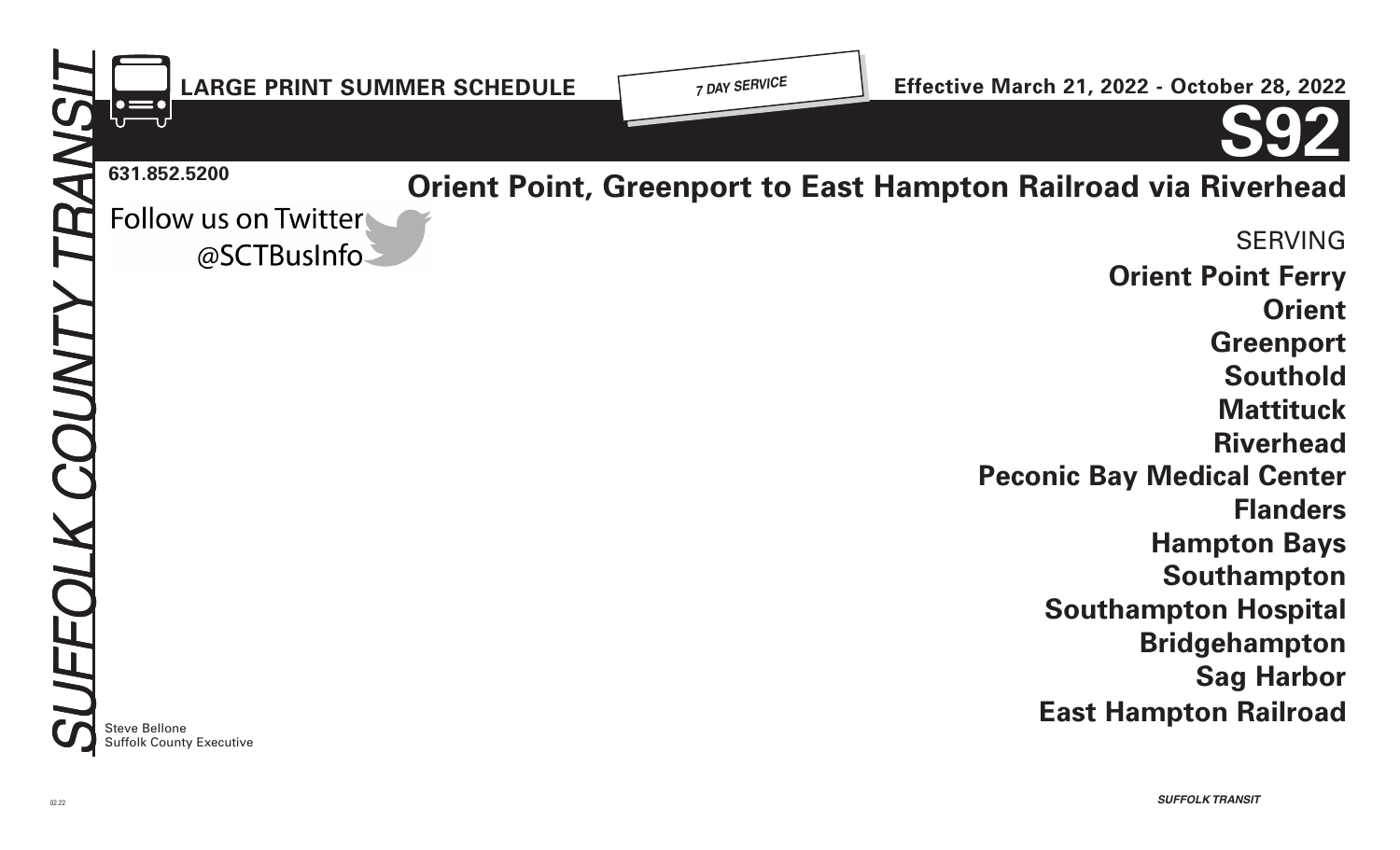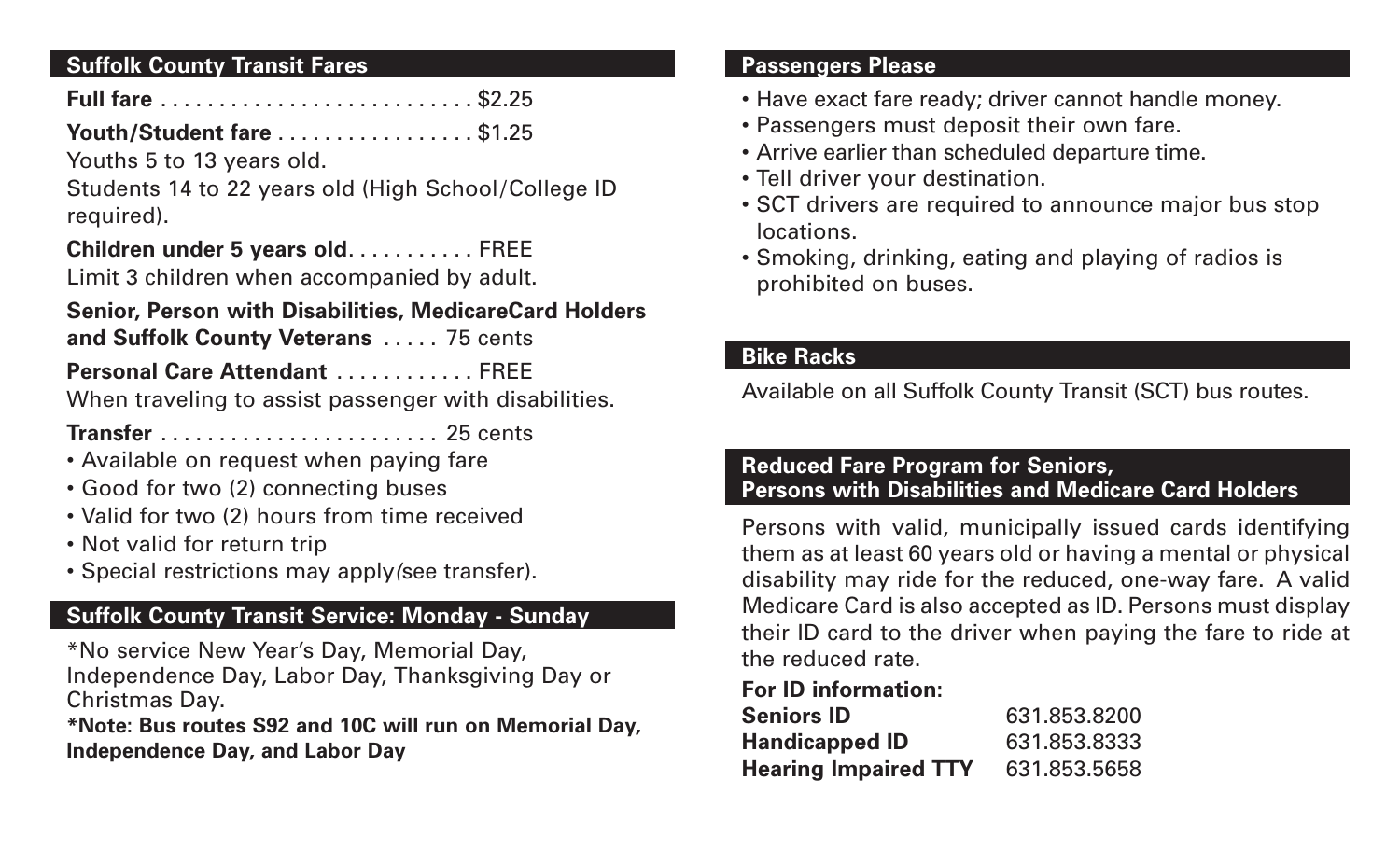### **Suffolk County Transit Fares**

## **Full fare** ........................... \$2.25

## **Youth/Student fare** ................. \$1.25

Youths 5 to 13 years old.

Students 14 to 22 years old (High School/College ID required).

## **Children under 5 years old**........... FREE

Limit 3 children when accompanied by adult.

# **Senior, Person with Disabilities, MedicareCard Holders**

**and Suffolk County Veterans** ..... 75 cents

**Personal Care Attendant** ............ FREE

When traveling to assist passenger with disabilities.

**Transfer** ........................ 25 cents

- Available on request when paying fare
- Good for two (2) connecting buses
- Valid for two (2) hours from time received
- Not valid for return trip
- Special restrictions may apply*(*see transfer).

## **Suffolk County Transit Service: Monday - Sunday**

\*No service New Year's Day, Memorial Day, Independence Day, Labor Day, Thanksgiving Day or Christmas Day.

**\*Note: Bus routes S92 and 10C will run on Memorial Day, Independence Day, and Labor Day**

#### **Passengers Please**

- Have exact fare ready; driver cannot handle money.
- Passengers must deposit their own fare.
- Arrive earlier than scheduled departure time.
- Tell driver your destination.
- SCT drivers are required to announce major bus stop locations.
- Smoking, drinking, eating and playing of radios is prohibited on buses.

### **Bike Racks**

Available on all Suffolk County Transit (SCT) bus routes.

### **Reduced Fare Program for Seniors, Persons with Disabilities and Medicare Card Holders**

Persons with valid, municipally issued cards identifying them as at least 60 years old or having a mental or physical disability may ride for the reduced, one-way fare. A valid Medicare Card is also accepted as ID. Persons must display their ID card to the driver when paying the fare to ride at the reduced rate.

## **For ID information:**

| <b>Seniors ID</b>           | 631.853.8200 |
|-----------------------------|--------------|
| <b>Handicapped ID</b>       | 631.853.8333 |
| <b>Hearing Impaired TTY</b> | 631.853.5658 |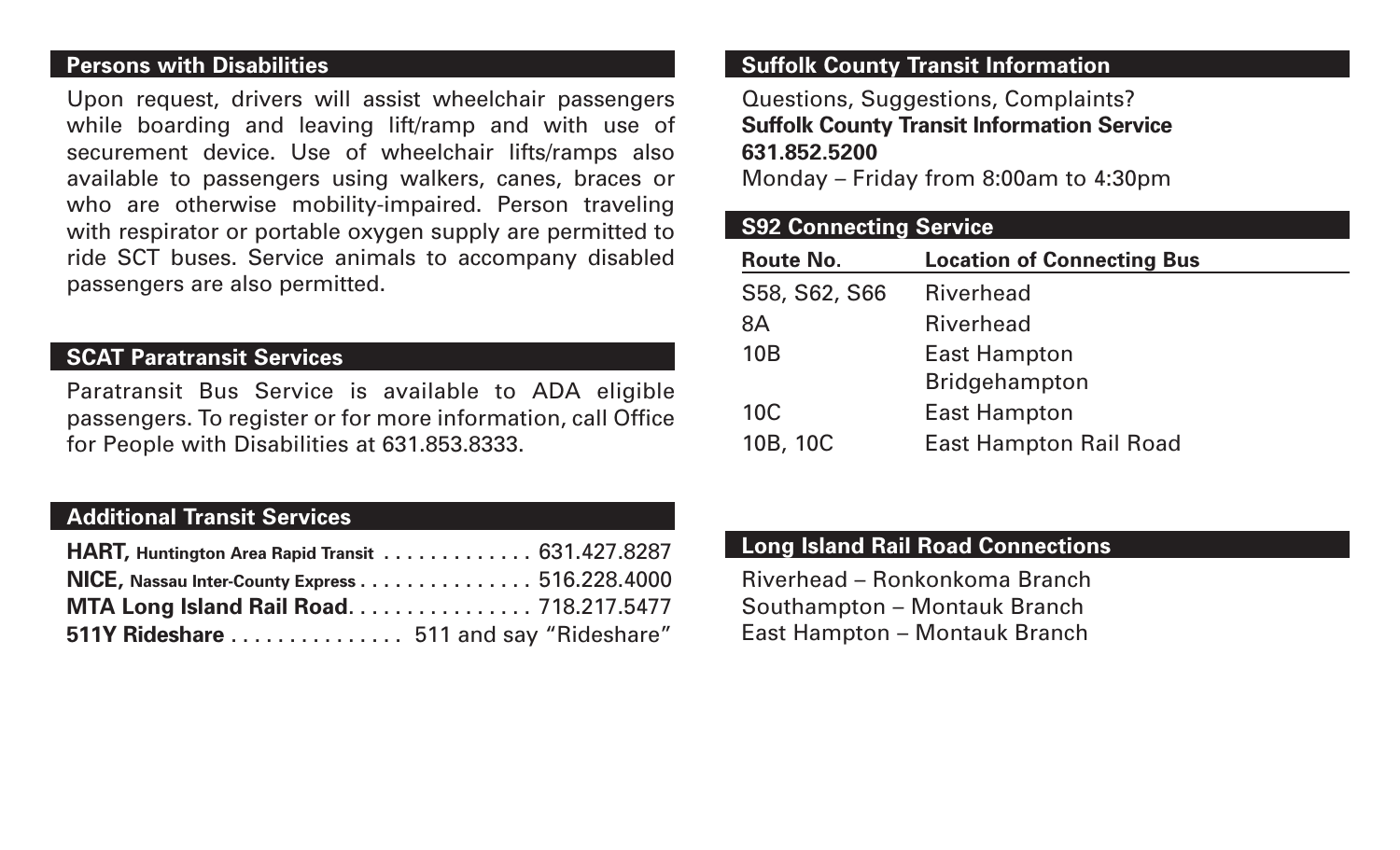#### **Persons with Disabilities**

Upon request, drivers will assist wheelchair passengers while boarding and leaving lift/ramp and with use of securement device. Use of wheelchair lifts/ramps also available to passengers using walkers, canes, braces or who are otherwise mobility-impaired. Person traveling with respirator or portable oxygen supply are permitted to ride SCT buses. Service animals to accompany disabled passengers are also permitted.

#### **SCAT Paratransit Services**

Paratransit Bus Service is available to ADA eligible passengers. To register or for more information, call Office for People with Disabilities at 631.853.8333.

### **Additional Transit Services**

| HART, Huntington Area Rapid Transit 631.427.8287 |  |
|--------------------------------------------------|--|
| NICE, Nassau Inter-County Express 516.228.4000   |  |
| MTA Long Island Rail Road 718.217.5477           |  |
| 511Y Rideshare  511 and say "Rideshare"          |  |

### **Suffolk County Transit Information**

Questions, Suggestions, Complaints? **Suffolk County Transit Information Service 631.852.5200**

Monday – Friday from 8:00am to 4:30pm

#### **S92 Connecting Service**

| <b>Route No.</b> | <b>Location of Connecting Bus</b> |
|------------------|-----------------------------------|
| S58, S62, S66    | <b>Riverhead</b>                  |
| 8A               | <b>Riverhead</b>                  |
| <b>10B</b>       | <b>East Hampton</b>               |
|                  | <b>Bridgehampton</b>              |
| <b>10C</b>       | <b>East Hampton</b>               |
| 10B, 10C         | <b>East Hampton Rail Road</b>     |

#### **Long Island Rail Road Connections**

Riverhead – Ronkonkoma Branch Southampton – Montauk Branch East Hampton – Montauk Branch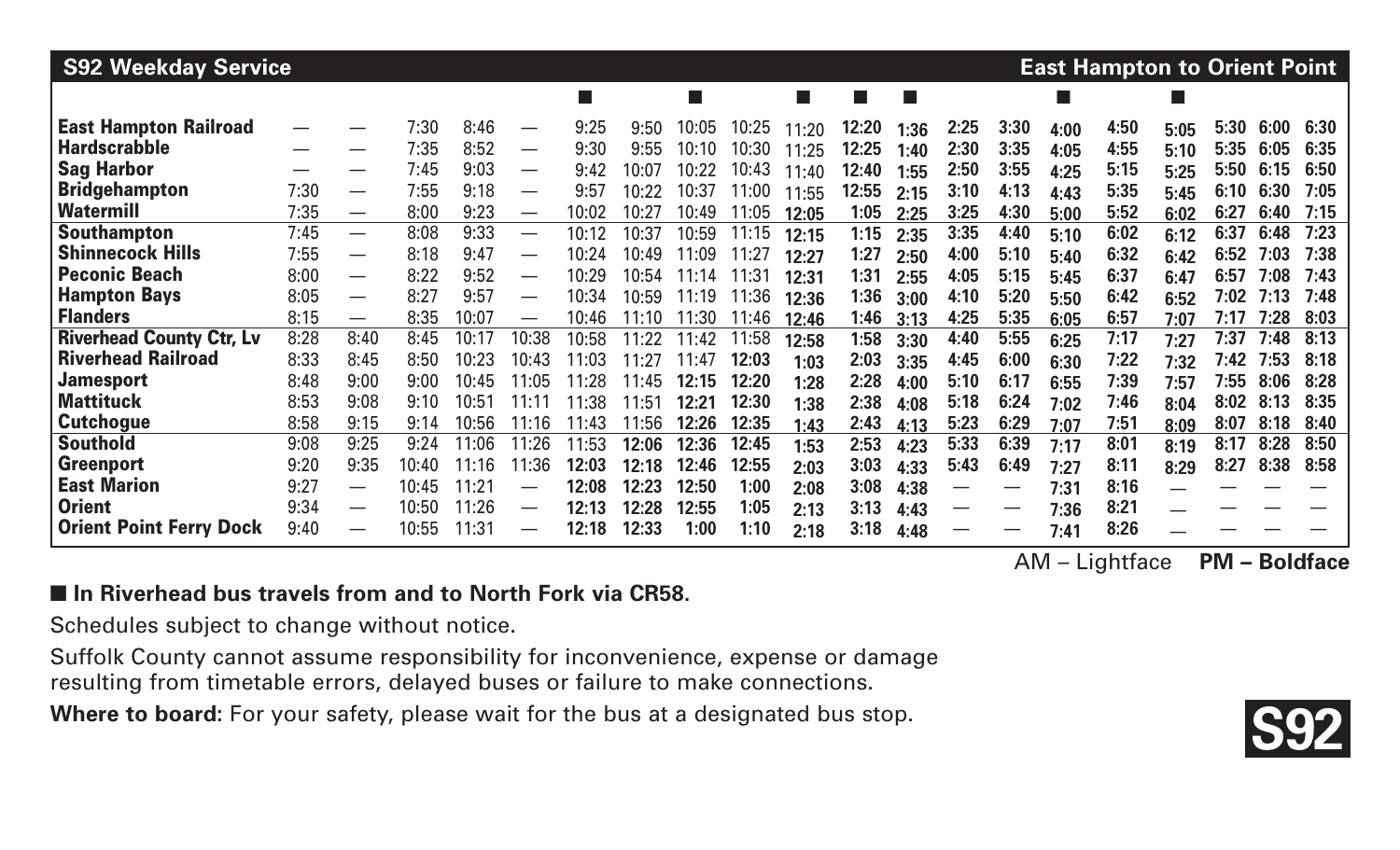| <b>S92 Weekday Service</b>      |      |                          |       |       |                          |        |       |       |       |       |       |                          |      |      |      | <b>East Hampton to Orient Point</b> |      |      |      |      |
|---------------------------------|------|--------------------------|-------|-------|--------------------------|--------|-------|-------|-------|-------|-------|--------------------------|------|------|------|-------------------------------------|------|------|------|------|
|                                 |      |                          |       |       |                          | $\Box$ |       |       |       |       | l a   | $\overline{\phantom{a}}$ |      |      |      |                                     |      |      |      |      |
| <b>East Hampton Railroad</b>    | --   |                          | 7:30  | 8:46  | $\overline{\phantom{0}}$ | 9:25   | 9:50  | 10:05 | 10:25 | 11:20 | 12:20 | 1:36                     | 2:25 | 3:30 | 4:00 | 4:50                                | 5:05 | 5:30 | 6:00 | 6:30 |
| <b>Hardscrabble</b>             | —    |                          | 7:35  | 8:52  | —                        | 9:30   | 9:55  | 10:10 | 10:30 | 1:25  | 12:25 | 1:40                     | 2:30 | 3:35 | 4:05 | 4:55                                | 5:10 | 5:35 | 6:05 | 6:35 |
| <b>Sag Harbor</b>               | —    |                          | 7:45  | 9:03  | $\overline{\phantom{0}}$ | 9:42   | 10:07 | 10:22 | 10:43 | 1:40  | 12:40 | 1:55                     | 2:50 | 3:55 | 4:25 | 5:15                                | 5:25 | 5:50 | 6:15 | 6:50 |
| <b>Bridgehampton</b>            | 7:30 |                          | 7:55  | 9:18  | $\overline{\phantom{0}}$ | 9:57   | 10:22 | 10:37 | 11:00 | 11:55 | 12:55 | 2:15                     | 3:10 | 4:13 | 4:43 | 5:35                                | 5:45 | 6:10 | 6:30 | 7:05 |
| <b>Watermill</b>                | 7:35 | $\overline{\phantom{0}}$ | 8:00  | 9:23  | —                        | 10:02  | 10:27 | 10:49 | 11:05 | 12:05 | 1:05  | 2:25                     | 3:25 | 4:30 | 5:00 | 5:52                                | 6:02 | 6:27 | 6:40 | 7:15 |
| <b>Southampton</b>              | 7:45 | $\overline{\phantom{0}}$ | 8:08  | 9:33  | —                        | 10:12  | 10:37 | 10:59 | 11:15 | 12:15 | 1:15  | 2:35                     | 3:35 | 4:40 | 5:10 | 6:02                                | 6:12 | 6:37 | 6:48 | 7:23 |
| <b>Shinnecock Hills</b>         | 7:55 | $\overline{\phantom{m}}$ | 8:18  | 9:47  | $\overline{\phantom{0}}$ | 10:24  | 10:49 | 11:09 | 11:27 | 12:27 | 1:27  | 2:50                     | 4:00 | 5:10 | 5:40 | 6:32                                | 6:42 | 6:52 | 7:03 | 7:38 |
| <b>Peconic Beach</b>            | 8:00 | $\hspace{0.05cm}$        | 8:22  | 9:52  | $\overline{\phantom{0}}$ | 10:29  | 10:54 | 11:14 | 11:31 | 12:31 | 1:31  | 2:55                     | 4:05 | 5:15 | 5:45 | 6:37                                | 6:47 | 6:57 | 7:08 | 7:43 |
| <b>Hampton Bays</b>             | 8:05 | $\hspace{0.05cm}$        | 8:27  | 9:57  | —                        | 10:34  | 10:59 | 11:19 | 11:36 | 12:36 | 1:36  | 3:00                     | 4:10 | 5:20 | 5:50 | 6:42                                | 6:52 | 7:02 | 7:13 | 7:48 |
| <b>Flanders</b>                 | 8:15 | $\overline{\phantom{m}}$ | 8:35  | 10:07 | $\overline{\phantom{0}}$ | 10:46  | 11:10 | 11:30 | 11:46 | 12:46 | 1:46  | 3:13                     | 4:25 | 5:35 | 6:05 | 6:57                                | 7:07 | 7:17 | 7:28 | 8:03 |
| <b>Riverhead County Ctr, Lv</b> | 8:28 | 8:40                     | 8:45  | 10:17 | 10:38                    | 10:58  | 11:22 | 11:42 | 11:58 | 12:58 | 1:58  | 3:30                     | 4:40 | 5:55 | 6:25 | 7:17                                | 7:27 | 7:37 | 7:48 | 8:13 |
| <b>Riverhead Railroad</b>       | 8:33 | 8:45                     | 8:50  | 10:23 | 10:43                    | 1:03   | 11:27 | 11:47 | 12:03 | 1:03  | 2:03  | 3:35                     | 4:45 | 6:00 | 6:30 | 7:22                                | 7:32 | 7:42 | 7:53 | 8:18 |
| <b>Jamesport</b>                | 8:48 | 9:00                     | 9:00  | 10:45 | 11:05                    | 1:28   | 11:45 | 12:15 | 12:20 | 1:28  | 2:28  | 4:00                     | 5:10 | 6:17 | 6:55 | 7:39                                | 7:57 | 7:55 | 8:06 | 8:28 |
| <b>Mattituck</b>                | 8:53 | 9:08                     | 9:10  | 10:51 |                          | 1:38   | 11:51 | 12:21 | 12:30 | 1:38  | 2:38  | 4:08                     | 5:18 | 6:24 | 7:02 | 7:46                                | 8:04 | 8:02 | 8:13 | 8:35 |
| <b>Cutchogue</b>                | 8:58 | 9:15                     | 9:14  | 10:56 | 11:16                    | 1:43   | 11:56 | 12:26 | 12:35 | 1:43  | 2:43  | 4:13                     | 5:23 | 6:29 | 7:07 | 7:51                                | 8:09 | 8:07 | 8:18 | 8:40 |
| <b>Southold</b>                 | 9:08 | 9:25                     | 9:24  | 11:06 | 11:26                    | 11:53  | 12:06 | 12:36 | 12:45 | 1:53  | 2:53  | 4:23                     | 5:33 | 6:39 | 7:17 | 8:01                                | 8:19 | 8:17 | 8:28 | 8:50 |
| <b>Greenport</b>                | 9:20 | 9:35                     | 10:40 | 11:16 | 11:36                    | 12:03  | 12:18 | 12:46 | 12:55 | 2:03  | 3:03  | 4:33                     | 5:43 | 6:49 | 7:27 | 8:11                                | 8:29 | 8:27 | 8:38 | 8:58 |
| <b>East Marion</b>              | 9:27 |                          | 10:45 | 11:21 |                          | 12:08  | 12:23 | 12:50 | 1:00  | 2:08  | 3:08  | 4:38                     |      |      | 7:31 | 8:16                                |      |      |      |      |
| <b>Orient</b>                   | 9:34 |                          | 10:50 | 11:26 | —                        | 12:13  | 12:28 | 12:55 | 1:05  | 2:13  | 3:13  | 4:43                     | —    |      | 7:36 | 8:21                                |      |      |      |      |
| <b>Orient Point Ferry Dock</b>  | 9:40 |                          | 10:55 | 11:31 |                          | 12:18  | 12:33 | 1:00  | 1:10  | 2:18  | 3:18  | 4:48                     | —    |      | 7:41 | 8:26                                |      |      |      |      |

#### ■ In Riverhead bus travels from and to North Fork via CR58.

Schedules subject to change without notice.

Suffolk County cannot assume responsibility for inconvenience, expense or damage resulting from timetable errors, delayed buses or failure to make connections.

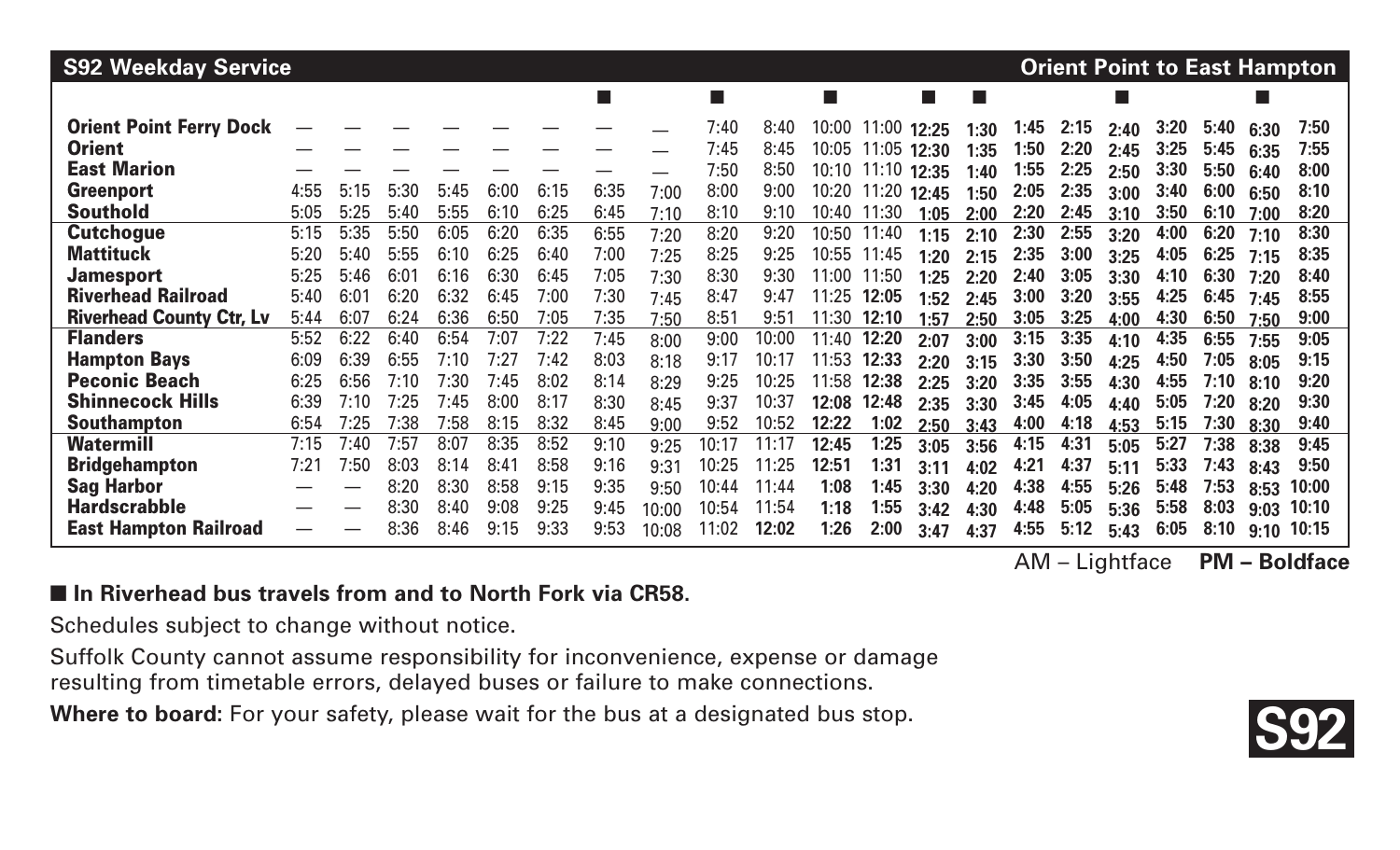| <b>S92 Weekday Service</b>      |      |      |      |      |      |      |        |       |       |       |                          |       |       |      |      | <b>Orient Point to East Hampton</b> |      |      |      |      |       |  |
|---------------------------------|------|------|------|------|------|------|--------|-------|-------|-------|--------------------------|-------|-------|------|------|-------------------------------------|------|------|------|------|-------|--|
|                                 |      |      |      |      |      |      | $\Box$ |       | ш     |       | <b>The Second Second</b> |       | ▄     |      |      |                                     | p.   |      |      |      |       |  |
| <b>Orient Point Ferry Dock</b>  |      |      |      |      |      |      |        |       | 7:40  | 8:40  | 10:00                    | 11:00 | 12:25 | 1:30 | 1:45 | 2:15                                | 2:40 | 3:20 | 5:40 | 6:30 | 7:50  |  |
| <b>Orient</b>                   |      |      |      |      |      |      |        |       | 7:45  | 8:45  | 10:05                    | 11:05 | 12:30 | 1:35 | 1:50 | 2:20                                | 2:45 | 3:25 | 5:45 | 6:35 | 7:55  |  |
| <b>East Marion</b>              |      |      |      |      |      |      |        |       | 7:50  | 8:50  | 10:10                    | 11:10 | 12:35 | 1:40 | 1:55 | 2:25                                | 2:50 | 3:30 | 5:50 | 6:40 | 8:00  |  |
| <b>Greenport</b>                | 4:55 | 5:15 | 5:30 | 5:45 | 6:00 | 6:15 | 6:35   | 7:00  | 8:00  | 9:00  | 10:20                    | 11:20 | 12:45 | 1:50 | 2:05 | 2:35                                | 3:00 | 3:40 | 6:00 | 6:50 | 8:10  |  |
| <b>Southold</b>                 | 5:05 | 5:25 | 5:40 | 5:55 | 6:10 | 6:25 | 6:45   | 7:10  | 8:10  | 9:10  | 10:40                    | 1:30  | 1:05  | 2:00 | 2:20 | 2:45                                | 3:10 | 3:50 | 6:10 | 7:00 | 8:20  |  |
| <b>Cutchogue</b>                | 5:15 | 5:35 | 5:50 | 6:05 | 6:20 | 6:35 | 6:55   | 7:20  | 8:20  | 9:20  | 10:50                    | 11:40 | 1:15  | 2:10 | 2:30 | 2:55                                | 3:20 | 4:00 | 6:20 | 7:10 | 8:30  |  |
| <b>Mattituck</b>                | 5:20 | 5:40 | 5:55 | 6:10 | 6:25 | 6:40 | 7:00   | 7:25  | 8:25  | 9:25  | 10:55                    | 11:45 | 1:20  | 2:15 | 2:35 | 3:00                                | 3:25 | 4:05 | 6:25 | 7:15 | 8:35  |  |
| <b>Jamesport</b>                | 5:25 | 5:46 | 6:01 | 6:16 | 6:30 | 6:45 | 7:05   | 7:30  | 8:30  | 9:30  | 11:00                    | 11:50 | 1:25  | 2:20 | 2:40 | 3:05                                | 3:30 | 4:10 | 6:30 | 7:20 | 8:40  |  |
| <b>Riverhead Railroad</b>       | 5:40 | 6:01 | 6:20 | 6:32 | 6:45 | 7:00 | 7:30   | 7:45  | 8:47  | 9:47  | 11:25                    | 12:05 | 1:52  | 2:45 | 3:00 | 3:20                                | 3:55 | 4:25 | 6:45 | 7:45 | 8:55  |  |
| <b>Riverhead County Ctr, Lv</b> | 5:44 | 6:07 | 6:24 | 6:36 | 6:50 | 7:05 | 7:35   | 7:50  | 8:51  | 9:5'  | 11:30                    | 12:10 | 1:57  | 2:50 | 3:05 | 3:25                                | 4:00 | 4:30 | 6:50 | 7:50 | 9:00  |  |
| <b>Flanders</b>                 | 5:52 | 6:22 | 6:40 | 6:54 | 7:07 | 7:22 | 7:45   | 8:00  | 9:00  | 10:00 | 11:40                    | 12:20 | 2:07  | 3:00 | 3:15 | 3:35                                | 4:10 | 4:35 | 6:55 | 7:55 | 9:05  |  |
| <b>Hampton Bays</b>             | 6:09 | 6:39 | 6:55 | 7:10 | 7:27 | 7:42 | 8:03   | 8:18  | 9:17  | 10:17 | 11:53                    | 12:33 | 2:20  | 3:15 | 3:30 | 3:50                                | 4:25 | 4:50 | 7:05 | 8:05 | 9:15  |  |
| <b>Peconic Beach</b>            | 6:25 | 6:56 | 7:10 | 7:30 | 7:45 | 8:02 | 8:14   | 8:29  | 9:25  | 10:25 | 11:58                    | 12:38 | 2:25  | 3:20 | 3:35 | 3:55                                | 4:30 | 4:55 | 7:10 | 8:10 | 9:20  |  |
| <b>Shinnecock Hills</b>         | 6:39 | 7:10 | 7:25 | 7:45 | 8:00 | 8:17 | 8:30   | 8:45  | 9:37  | 10:37 | 12:08                    | 12:48 | 2:35  | 3:30 | 3:45 | 4:05                                | 4:40 | 5:05 | 7:20 | 8:20 | 9:30  |  |
| <b>Southampton</b>              | 6:54 | 7:25 | 7:38 | 7:58 | 8:15 | 8:32 | 8:45   | 9:00  | 9:52  | 10:52 | 12:22                    | 1:02  | 2:50  | 3:43 | 4:00 | 4:18                                | 4:53 | 5:15 | 7:30 | 8:30 | 9:40  |  |
| <b>Watermill</b>                | 7:15 | 7:40 | 7:57 | 8:07 | 8:35 | 8:52 | 9:10   | 9:25  | 10:17 | 11:17 | 12:45                    | 1:25  | 3:05  | 3:56 | 4:15 | 4:31                                | 5:05 | 5:27 | 7:38 | 8:38 | 9:45  |  |
| <b>Bridgehampton</b>            | 7:21 | 7:50 | 8:03 | 8:14 | 8:41 | 8:58 | 9:16   | 9:31  | 10:25 | 11:25 | 12:51                    | 1:31  | 3:11  | 4:02 | 4:21 | 4:37                                | 5:11 | 5:33 | 7:43 | 8:43 | 9:50  |  |
| <b>Sag Harbor</b>               |      |      | 8:20 | 8:30 | 8:58 | 9:15 | 9:35   | 9:50  | 10:44 | 11:44 | 1:08                     | 1:45  | 3:30  | 4:20 | 4:38 | 4:55                                | 5:26 | 5:48 | 7:53 | 8:53 | 10:00 |  |
| <b>Hardscrabble</b>             |      |      | 8:30 | 8:40 | 9:08 | 9:25 | 9:45   | 10:00 | 10:54 | 11:54 | 1:18                     | 1:55  | 3:42  | 4:30 | 4:48 | 5:05                                | 5:36 | 5:58 | 8:03 | 9:03 | 10:10 |  |
| <b>East Hampton Railroad</b>    |      |      | 8:36 | 8:46 | 9:15 | 9:33 | 9:53   | 10:08 | 1:02  | 12:02 | 1:26                     | 2:00  | 3:47  | 4:37 | 4:55 | 5:12                                | 5:43 | 6:05 | 8:10 | 9:10 | 10:15 |  |

#### ■ In Riverhead bus travels from and to North Fork via CR58.

Schedules subject to change without notice.

Suffolk County cannot assume responsibility for inconvenience, expense or damage resulting from timetable errors, delayed buses or failure to make connections.

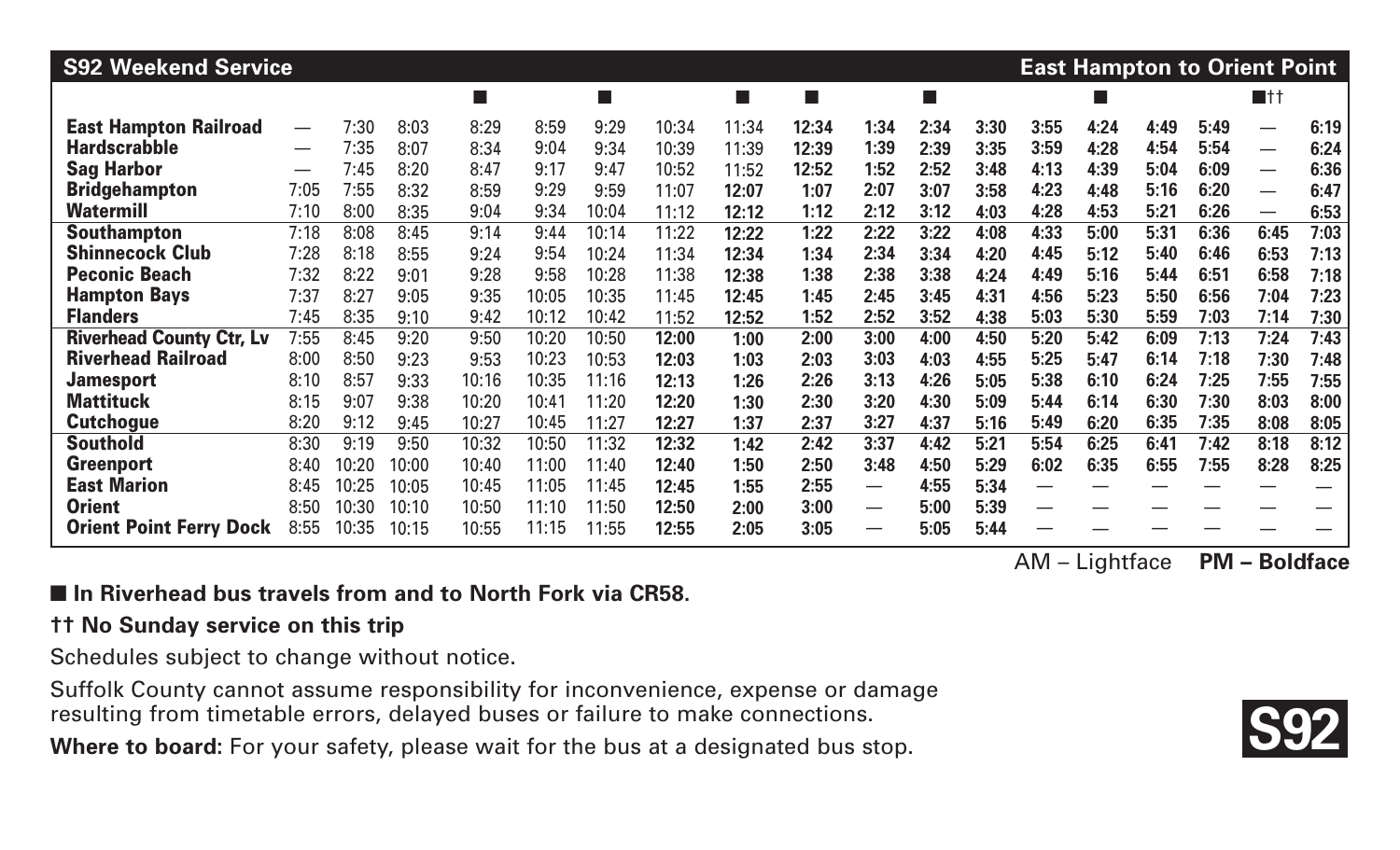| <b>S92 Weekend Service</b>      |                               |       |       |        |       |                          |       |       |       |                          |      |      |      | <b>East Hampton to Orient Point</b> |      |      |                          |      |
|---------------------------------|-------------------------------|-------|-------|--------|-------|--------------------------|-------|-------|-------|--------------------------|------|------|------|-------------------------------------|------|------|--------------------------|------|
|                                 |                               |       |       | $\Box$ |       | $\overline{\phantom{a}}$ |       | П     | ш     |                          | F.   |      |      |                                     |      |      | $\blacksquare$ tt        |      |
| <b>East Hampton Railroad</b>    |                               | 7:30  | 8:03  | 8:29   | 8:59  | 9:29                     | 10:34 | 11:34 | 12:34 | 1:34                     | 2:34 | 3:30 | 3:55 | 4:24                                | 4:49 | 5:49 |                          | 6:19 |
| <b>Hardscrabble</b>             | $\overbrace{\phantom{aaaaa}}$ | 7:35  | 8:07  | 8:34   | 9:04  | 9:34                     | 10:39 | 11:39 | 12:39 | 1:39                     | 2:39 | 3:35 | 3:59 | 4:28                                | 4:54 | 5:54 | $\hspace{0.05cm}$        | 6:24 |
| <b>Sag Harbor</b>               | $\overline{\phantom{0}}$      | 7:45  | 8:20  | 8:47   | 9:17  | 9:47                     | 10:52 | 11:52 | 12:52 | 1:52                     | 2:52 | 3:48 | 4:13 | 4:39                                | 5:04 | 6:09 | $\hspace{0.05cm}$        | 6:36 |
| <b>Bridgehampton</b>            | 7:05                          | 7:55  | 8:32  | 8:59   | 9:29  | 9:59                     | 11:07 | 12:07 | 1:07  | 2:07                     | 3:07 | 3:58 | 4:23 | 4:48                                | 5:16 | 6:20 | $\overline{\phantom{m}}$ | 6:47 |
| <b>Watermill</b>                | 7:10                          | 8:00  | 8:35  | 9:04   | 9:34  | 10:04                    | 11:12 | 12:12 | 1:12  | 2:12                     | 3:12 | 4:03 | 4:28 | 4:53                                | 5:21 | 6:26 | $\overline{\phantom{m}}$ | 6:53 |
| <b>Southampton</b>              | 7:18                          | 8:08  | 8:45  | 9:14   | 9:44  | 10:14                    | 11:22 | 12:22 | 1:22  | 2:22                     | 3:22 | 4:08 | 4:33 | 5:00                                | 5:31 | 6:36 | 6:45                     | 7:03 |
| <b>Shinnecock Club</b>          | 7:28                          | 8:18  | 8:55  | 9:24   | 9:54  | 10:24                    | 11:34 | 12:34 | 1:34  | 2:34                     | 3:34 | 4:20 | 4:45 | 5:12                                | 5:40 | 6:46 | 6:53                     | 7:13 |
| <b>Peconic Beach</b>            | 7:32                          | 8:22  | 9:01  | 9:28   | 9:58  | 10:28                    | 11:38 | 12:38 | 1:38  | 2:38                     | 3:38 | 4:24 | 4:49 | 5:16                                | 5:44 | 6:51 | 6:58                     | 7:18 |
| <b>Hampton Bays</b>             | 7:37                          | 8:27  | 9:05  | 9:35   | 10:05 | 10:35                    | 11:45 | 12:45 | 1:45  | 2:45                     | 3:45 | 4:31 | 4:56 | 5:23                                | 5:50 | 6:56 | 7:04                     | 7:23 |
| <b>Flanders</b>                 | 7:45                          | 8:35  | 9:10  | 9:42   | 10:12 | 10:42                    | 11:52 | 12:52 | 1:52  | 2:52                     | 3:52 | 4:38 | 5:03 | 5:30                                | 5:59 | 7:03 | 7:14                     | 7:30 |
| <b>Riverhead County Ctr, Lv</b> | 7:55                          | 8:45  | 9:20  | 9:50   | 10:20 | 10:50                    | 12:00 | 1:00  | 2:00  | 3:00                     | 4:00 | 4:50 | 5:20 | 5:42                                | 6:09 | 7:13 | 7:24                     | 7:43 |
| <b>Riverhead Railroad</b>       | 8:00                          | 8:50  | 9:23  | 9:53   | 10:23 | 10:53                    | 12:03 | 1:03  | 2:03  | 3:03                     | 4:03 | 4:55 | 5:25 | 5:47                                | 6:14 | 7:18 | 7:30                     | 7:48 |
| <b>Jamesport</b>                | 8:10                          | 8:57  | 9:33  | 10:16  | 10:35 | 11:16                    | 12:13 | 1:26  | 2:26  | 3:13                     | 4:26 | 5:05 | 5:38 | 6:10                                | 6:24 | 7:25 | 7:55                     | 7:55 |
| <b>Mattituck</b>                | 8:15                          | 9:07  | 9:38  | 10:20  | 10:41 | 11:20                    | 12:20 | 1:30  | 2:30  | 3:20                     | 4:30 | 5:09 | 5:44 | 6:14                                | 6:30 | 7:30 | 8:03                     | 8:00 |
| <b>Cutchogue</b>                | 8:20                          | 9:12  | 9:45  | 10:27  | 10:45 | 11:27                    | 12:27 | 1:37  | 2:37  | 3:27                     | 4:37 | 5:16 | 5:49 | 6:20                                | 6:35 | 7:35 | 8:08                     | 8:05 |
| <b>Southold</b>                 | 8:30                          | 9:19  | 9:50  | 10:32  | 10:50 | 11:32                    | 12:32 | 1:42  | 2:42  | 3:37                     | 4:42 | 5:21 | 5:54 | 6:25                                | 6:41 | 7:42 | 8:18                     | 8:12 |
| <b>Greenport</b>                | 8:40                          | 10:20 | 10:00 | 10:40  | 11:00 | 11:40                    | 12:40 | 1:50  | 2:50  | 3:48                     | 4:50 | 5:29 | 6:02 | 6:35                                | 6:55 | 7:55 | 8:28                     | 8:25 |
| <b>East Marion</b>              | 8:45                          | 10:25 | 10:05 | 10:45  | 11:05 | 11:45                    | 12:45 | 1:55  | 2:55  | —                        | 4:55 | 5:34 |      |                                     |      |      |                          |      |
| <b>Orient</b>                   | 8:50                          | 10:30 | 10:10 | 10:50  | 11:10 | 11:50                    | 12:50 | 2:00  | 3:00  | $\overline{\phantom{0}}$ | 5:00 | 5:39 |      |                                     |      |      |                          |      |
| <b>Orient Point Ferry Dock</b>  | 8:55                          | 10:35 | 10:15 | 10:55  | 11:15 | 11:55                    | 12:55 | 2:05  | 3:05  | —                        | 5:05 | 5:44 |      |                                     |      |      |                          |      |

#### ■ In Riverhead bus travels from and to North Fork via CR58.

#### **†† No Sunday service on this trip**

Schedules subject to change without notice.

Suffolk County cannot assume responsibility for inconvenience, expense or damage resulting from timetable errors, delayed buses or failure to make connections.

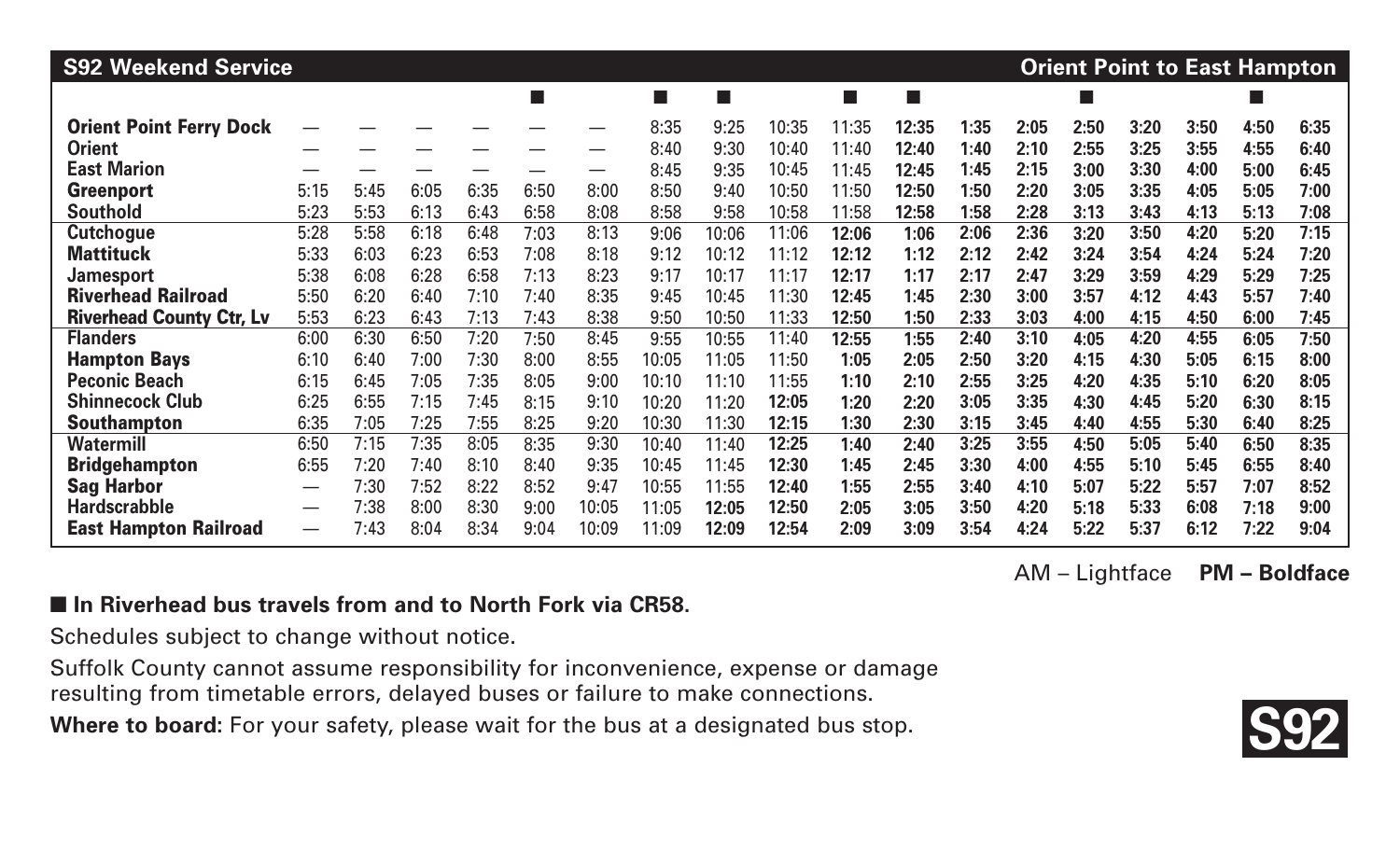| <b>S92 Weekend Service</b><br><b>Orient Point to East Hampton</b> |      |      |      |      |      |       |       |        |       |       |       |      |      |      |      |      |      |      |
|-------------------------------------------------------------------|------|------|------|------|------|-------|-------|--------|-------|-------|-------|------|------|------|------|------|------|------|
|                                                                   |      |      |      |      |      |       | m.    | $\Box$ |       | ш     | a a s |      |      |      |      |      |      |      |
| <b>Orient Point Ferry Dock</b>                                    |      |      |      |      |      |       | 8:35  | 9:25   | 10:35 | 11:35 | 12:35 | 1:35 | 2:05 | 2:50 | 3:20 | 3:50 | 4:50 | 6:35 |
| <b>Orient</b>                                                     |      |      |      |      |      |       | 8:40  | 9:30   | 10:40 | 11:40 | 12:40 | 1:40 | 2:10 | 2:55 | 3:25 | 3:55 | 4:55 | 6:40 |
| <b>East Marion</b>                                                |      |      |      |      |      |       | 8:45  | 9:35   | 10:45 | 11:45 | 12:45 | 1:45 | 2:15 | 3:00 | 3:30 | 4:00 | 5:00 | 6:45 |
| <b>Greenport</b>                                                  | 5:15 | 5:45 | 6:05 | 6:35 | 6:50 | 8:00  | 8:50  | 9:40   | 10:50 | 11:50 | 12:50 | 1:50 | 2:20 | 3:05 | 3:35 | 4:05 | 5:05 | 7:00 |
| <b>Southold</b>                                                   | 5:23 | 5:53 | 6:13 | 6:43 | 6:58 | 8:08  | 8:58  | 9:58   | 10:58 | 11:58 | 12:58 | 1:58 | 2:28 | 3:13 | 3:43 | 4:13 | 5:13 | 7:08 |
| <b>Cutchogue</b>                                                  | 5:28 | 5:58 | 6:18 | 6:48 | 7:03 | 8:13  | 9:06  | 10:06  | 11:06 | 12:06 | 1:06  | 2:06 | 2:36 | 3:20 | 3:50 | 4:20 | 5:20 | 7:15 |
| <b>Mattituck</b>                                                  | 5:33 | 6:03 | 6:23 | 6:53 | 7:08 | 8:18  | 9:12  | 10:12  | 11:12 | 12:12 | 1:12  | 2:12 | 2:42 | 3:24 | 3:54 | 4:24 | 5:24 | 7:20 |
| <b>Jamesport</b>                                                  | 5:38 | 6:08 | 6:28 | 6:58 | 7:13 | 8:23  | 9:17  | 10:17  | 11:17 | 12:17 | 1:17  | 2:17 | 2:47 | 3:29 | 3:59 | 4:29 | 5:29 | 7:25 |
| <b>Riverhead Railroad</b>                                         | 5:50 | 6:20 | 6:40 | 7:10 | 7:40 | 8:35  | 9:45  | 10:45  | 11:30 | 12:45 | 1:45  | 2:30 | 3:00 | 3:57 | 4:12 | 4:43 | 5:57 | 7:40 |
| <b>Riverhead County Ctr, Lv</b>                                   | 5:53 | 6:23 | 6:43 | 7:13 | 7:43 | 8:38  | 9:50  | 10:50  | 11:33 | 12:50 | 1:50  | 2:33 | 3:03 | 4:00 | 4:15 | 4:50 | 6:00 | 7:45 |
| <b>Flanders</b>                                                   | 6:00 | 6:30 | 6:50 | 7:20 | 7:50 | 8:45  | 9:55  | 10:55  | 11:40 | 12:55 | 1:55  | 2:40 | 3:10 | 4:05 | 4:20 | 4:55 | 6:05 | 7:50 |
| <b>Hampton Bays</b>                                               | 6:10 | 6:40 | 7:00 | 7:30 | 8:00 | 8:55  | 10:05 | 11:05  | 11:50 | 1:05  | 2:05  | 2:50 | 3:20 | 4:15 | 4:30 | 5:05 | 6:15 | 8:00 |
| <b>Peconic Beach</b>                                              | 6:15 | 6:45 | 7:05 | 7:35 | 8:05 | 9:00  | 10:10 | 11:10  | 11:55 | 1:10  | 2:10  | 2:55 | 3:25 | 4:20 | 4:35 | 5:10 | 6:20 | 8:05 |
| <b>Shinnecock Club</b>                                            | 6:25 | 6:55 | 7:15 | 7:45 | 8:15 | 9:10  | 10:20 | 11:20  | 12:05 | 1:20  | 2:20  | 3:05 | 3:35 | 4:30 | 4:45 | 5:20 | 6:30 | 8:15 |
| <b>Southampton</b>                                                | 6:35 | 7:05 | 7:25 | 7:55 | 8:25 | 9:20  | 10:30 | 11:30  | 12:15 | 1:30  | 2:30  | 3:15 | 3:45 | 4:40 | 4:55 | 5:30 | 6:40 | 8:25 |
| <b>Watermill</b>                                                  | 6:50 | 7:15 | 7:35 | 8:05 | 8:35 | 9:30  | 10:40 | 11:40  | 12:25 | 1:40  | 2:40  | 3:25 | 3:55 | 4:50 | 5:05 | 5:40 | 6:50 | 8:35 |
| <b>Bridgehampton</b>                                              | 6:55 | 7:20 | 7:40 | 8:10 | 8:40 | 9:35  | 10:45 | 11:45  | 12:30 | 1:45  | 2:45  | 3:30 | 4:00 | 4:55 | 5:10 | 5:45 | 6:55 | 8:40 |
| <b>Sag Harbor</b>                                                 | —    | 7:30 | 7:52 | 8:22 | 8:52 | 9:47  | 10:55 | 11:55  | 12:40 | 1:55  | 2:55  | 3:40 | 4:10 | 5:07 | 5:22 | 5:57 | 7:07 | 8:52 |
| <b>Hardscrabble</b>                                               |      | 7:38 | 8:00 | 8:30 | 9:00 | 10:05 | 11:05 | 12:05  | 12:50 | 2:05  | 3:05  | 3:50 | 4:20 | 5:18 | 5:33 | 6:08 | 7:18 | 9:00 |
| <b>East Hampton Railroad</b>                                      | —    | 7:43 | 8:04 | 8:34 | 9:04 | 10:09 | 11:09 | 12:09  | 12:54 | 2:09  | 3:09  | 3:54 | 4:24 | 5:22 | 5:37 | 6:12 | 7:22 | 9:04 |

#### ■ In Riverhead bus travels from and to North Fork via CR58.

Schedules subject to change without notice.

Suffolk County cannot assume responsibility for inconvenience, expense or damage resulting from timetable errors, delayed buses or failure to make connections.